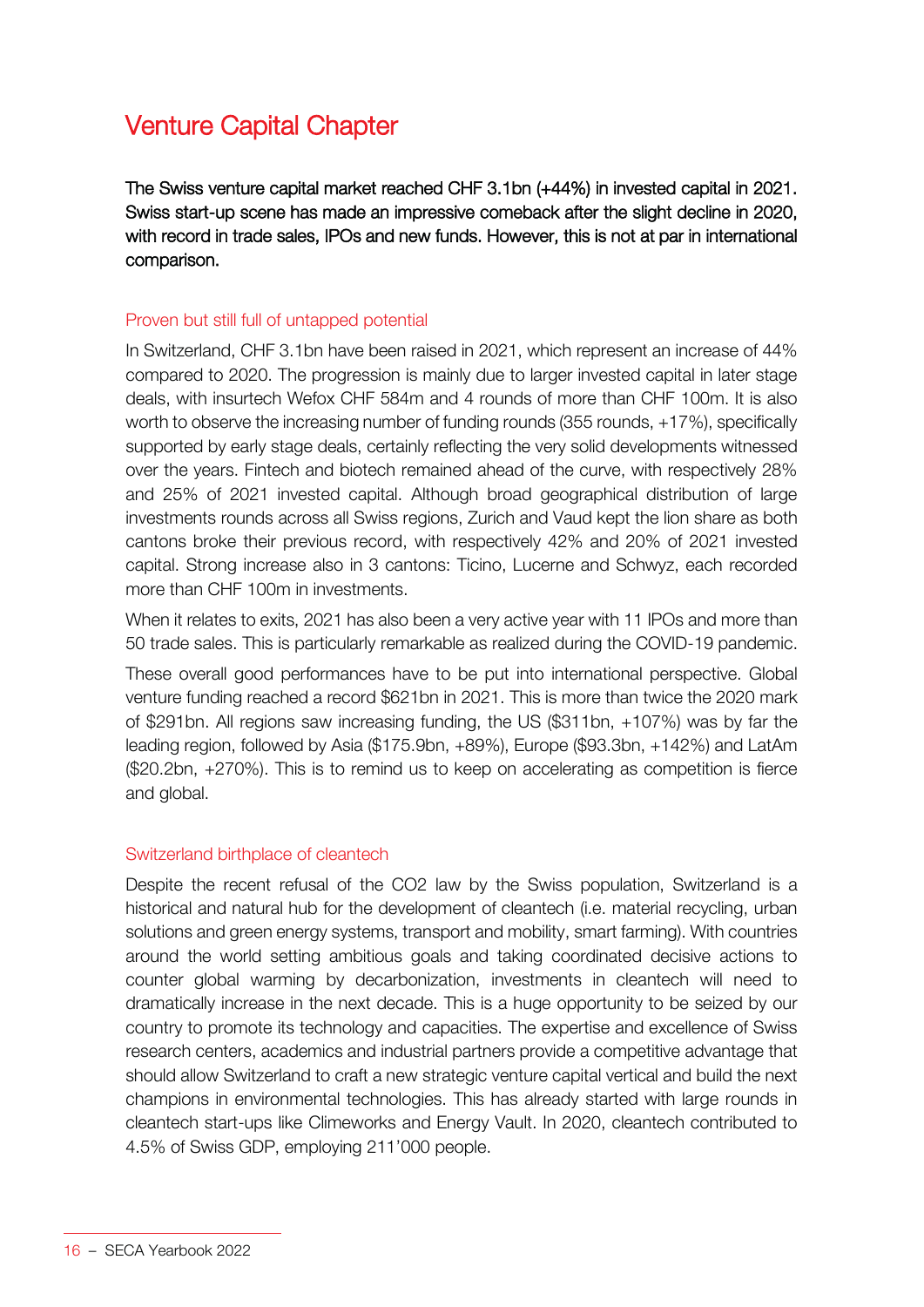# Venture Capital Chapter

The Swiss venture capital market reached CHF 3.1bn (+44%) in invested capital in 2021. Swiss start-up scene has made an impressive comeback after the slight decline in 2020, with record in trade sales, IPOs and new funds. However, this is not at par in international comparison.

## Proven but still full of untapped potential

In Switzerland, CHF 3.1bn have been raised in 2021, which represent an increase of 44% compared to 2020. The progression is mainly due to larger invested capital in later stage deals, with insurtech Wefox CHF 584m and 4 rounds of more than CHF 100m. It is also worth to observe the increasing number of funding rounds (355 rounds, +17%), specifically supported by early stage deals, certainly reflecting the very solid developments witnessed over the years. Fintech and biotech remained ahead of the curve, with respectively 28% and 25% of 2021 invested capital. Although broad geographical distribution of large investments rounds across all Swiss regions, Zurich and Vaud kept the lion share as both cantons broke their previous record, with respectively 42% and 20% of 2021 invested capital. Strong increase also in 3 cantons: Ticino, Lucerne and Schwyz, each recorded more than CHF 100m in investments.

When it relates to exits, 2021 has also been a very active year with 11 IPOs and more than 50 trade sales. This is particularly remarkable as realized during the COVID-19 pandemic.

These overall good performances have to be put into international perspective. Global venture funding reached a record \$621bn in 2021. This is more than twice the 2020 mark of \$291bn. All regions saw increasing funding, the US (\$311bn, +107%) was by far the leading region, followed by Asia (\$175.9bn, +89%), Europe (\$93.3bn, +142%) and LatAm (\$20.2bn, +270%). This is to remind us to keep on accelerating as competition is fierce and global.

### Switzerland birthplace of cleantech

Despite the recent refusal of the CO2 law by the Swiss population, Switzerland is a historical and natural hub for the development of cleantech (i.e. material recycling, urban solutions and green energy systems, transport and mobility, smart farming). With countries around the world setting ambitious goals and taking coordinated decisive actions to counter global warming by decarbonization, investments in cleantech will need to dramatically increase in the next decade. This is a huge opportunity to be seized by our country to promote its technology and capacities. The expertise and excellence of Swiss research centers, academics and industrial partners provide a competitive advantage that should allow Switzerland to craft a new strategic venture capital vertical and build the next champions in environmental technologies. This has already started with large rounds in cleantech start-ups like Climeworks and Energy Vault. In 2020, cleantech contributed to 4.5% of Swiss GDP, employing 211'000 people.